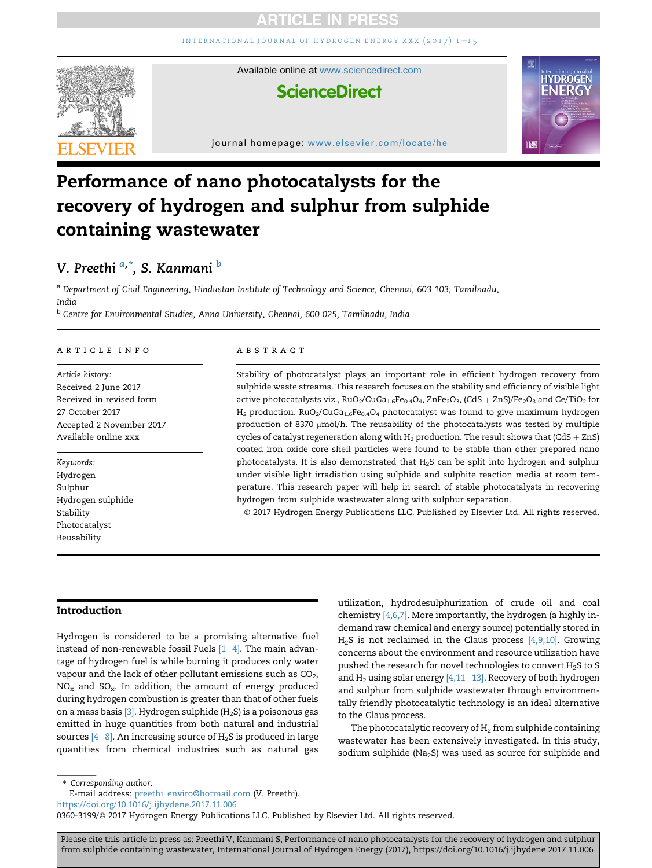INTERNATIONAL JOURNAL OF HYDROGEN ENERGY XXX  $(2017)$  I-15



Available online at [www.sciencedirect.com](www.sciencedirect.com/science/journal/03603199)

## **ScienceDirect**



journal homepage: <www.elsevier.com/locate/he>

## Performance of nano photocatalysts for the recovery of hydrogen and sulphur from sulphide containing wastewater

### V. Preethi <sup>a,</sup>\*, S. Kanmani <sup>b</sup>

a Department of Civil Engineering, Hindustan Institute of Technology and Science, Chennai, 603 103, Tamilnadu, India

<sup>b</sup> Centre for Environmental Studies, Anna University, Chennai, 600 025, Tamilnadu, India

#### article info

Article history: Received 2 June 2017 Received in revised form 27 October 2017 Accepted 2 November 2017 Available online xxx

Keywords: Hydrogen Sulphur Hydrogen sulphide Stability Photocatalyst Reusability

#### **ABSTRACT**

Stability of photocatalyst plays an important role in efficient hydrogen recovery from sulphide waste streams. This research focuses on the stability and efficiency of visible light active photocatalysts viz.,  $RuO_2/CuGa_{1.6}Fe_{0.4}O_4$ , ZnFe<sub>2</sub>O<sub>3</sub>, (CdS + ZnS)/Fe<sub>2</sub>O<sub>3</sub> and Ce/TiO<sub>2</sub> for  $H_2$  production. RuO<sub>2</sub>/CuGa<sub>1.6</sub>Fe<sub>0.4</sub>O<sub>4</sub> photocatalyst was found to give maximum hydrogen production of 8370  $\mu$ mol/h. The reusability of the photocatalysts was tested by multiple cycles of catalyst regeneration along with  $H_2$  production. The result shows that (CdS + ZnS) coated iron oxide core shell particles were found to be stable than other prepared nano photocatalysts. It is also demonstrated that H2S can be split into hydrogen and sulphur under visible light irradiation using sulphide and sulphite reaction media at room temperature. This research paper will help in search of stable photocatalysts in recovering hydrogen from sulphide wastewater along with sulphur separation.

© 2017 Hydrogen Energy Publications LLC. Published by Elsevier Ltd. All rights reserved.

#### Introduction

Hydrogen is considered to be a promising alternative fuel instead of non-renewable fossil Fuels  $[1-4]$  $[1-4]$  $[1-4]$ . The main advantage of hydrogen fuel is while burning it produces only water vapour and the lack of other pollutant emissions such as  $CO<sub>2</sub>$ ,  $NO<sub>x</sub>$  and  $SO<sub>x</sub>$ . In addition, the amount of energy produced during hydrogen combustion is greater than that of other fuels on a mass basis  $[3]$ . Hydrogen sulphide (H<sub>2</sub>S) is a poisonous gas emitted in huge quantities from both natural and industrial sources  $[4-8]$  $[4-8]$ . An increasing source of  $H_2S$  is produced in large quantities from chemical industries such as natural gas

utilization, hydrodesulphurization of crude oil and coal chemistry [\[4,6,7\]](#page--1-0). More importantly, the hydrogen (a highly indemand raw chemical and energy source) potentially stored in  $H<sub>2</sub>S$  is not reclaimed in the Claus process  $[4,9,10]$ . Growing concerns about the environment and resource utilization have pushed the research for novel technologies to convert  $H_2S$  to S and  $H_2$  using solar energy [\[4,11](#page--1-0)–[13\]](#page--1-0). Recovery of both hydrogen and sulphur from sulphide wastewater through environmentally friendly photocatalytic technology is an ideal alternative to the Claus process.

The photocatalytic recovery of  $H_2$  from sulphide containing wastewater has been extensively investigated. In this study, sodium sulphide (Na<sub>2</sub>S) was used as source for sulphide and

\* Corresponding author.

E-mail address: [preethi\\_enviro@hotmail.com](mailto:preethi_enviro@hotmail.com) (V. Preethi).

<https://doi.org/10.1016/j.ijhydene.2017.11.006>

0360-3199/© 2017 Hydrogen Energy Publications LLC. Published by Elsevier Ltd. All rights reserved.

Please cite this article in press as: Preethi V, Kanmani S, Performance of nano photocatalysts for the recovery of hydrogen and sulphur from sulphide containing wastewater, International Journal of Hydrogen Energy (2017), https://doi.org/10.1016/j.ijhydene.2017.11.006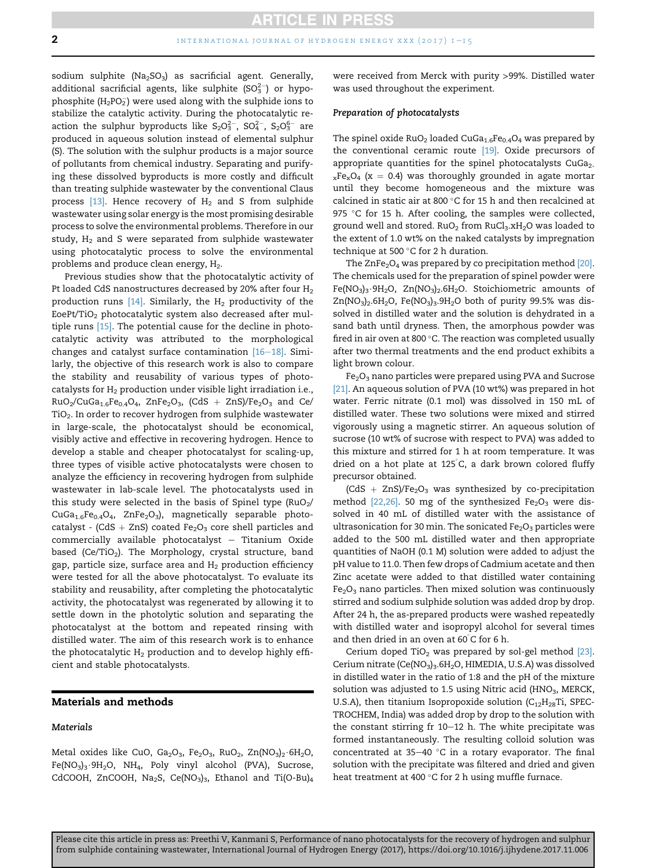sodium sulphite ( $Na<sub>2</sub>SO<sub>3</sub>$ ) as sacrificial agent. Generally, additional sacrificial agents, like sulphite  $(SO_3^{2-})$  or hypophosphite (H $_2$ PO $_2^-$ ) were used along with the sulphide ions to stabilize the catalytic activity. During the photocatalytic reaction the sulphur byproducts like  $S_2O_3^{2-}$ ,  $SO_4^{2-}$ ,  $S_2O_3^{6-}$  are produced in aqueous solution instead of elemental sulphur (S). The solution with the sulphur products is a major source of pollutants from chemical industry. Separating and purifying these dissolved byproducts is more costly and difficult than treating sulphide wastewater by the conventional Claus process  $[13]$ . Hence recovery of  $H_2$  and S from sulphide wastewater using solar energy is the most promising desirable process to solve the environmental problems. Therefore in our study,  $H_2$  and S were separated from sulphide wastewater using photocatalytic process to solve the environmental problems and produce clean energy, H<sub>2</sub>.

Previous studies show that the photocatalytic activity of Pt loaded CdS nanostructures decreased by 20% after four H<sub>2</sub> production runs  $[14]$ . Similarly, the  $H_2$  productivity of the EoePt/TiO<sub>2</sub> photocatalytic system also decreased after multiple runs [\[15\]](#page--1-0). The potential cause for the decline in photocatalytic activity was attributed to the morphological changes and catalyst surface contamination  $[16-18]$  $[16-18]$  $[16-18]$ . Similarly, the objective of this research work is also to compare the stability and reusability of various types of photocatalysts for  $H_2$  production under visible light irradiation i.e.,  $RuO_2/CuGa_{1.6}Fe_{0.4}O_4$ , ZnFe<sub>2</sub>O<sub>3</sub>, (CdS + ZnS)/Fe<sub>2</sub>O<sub>3</sub> and Ce/  $TiO<sub>2</sub>$ . In order to recover hydrogen from sulphide wastewater in large-scale, the photocatalyst should be economical, visibly active and effective in recovering hydrogen. Hence to develop a stable and cheaper photocatalyst for scaling-up, three types of visible active photocatalysts were chosen to analyze the efficiency in recovering hydrogen from sulphide wastewater in lab-scale level. The photocatalysts used in this study were selected in the basis of Spinel type ( $RuO<sub>2</sub>/$  $CuGa<sub>1.6</sub>Fe<sub>0.4</sub>O<sub>4</sub>$ , ZnFe<sub>2</sub>O<sub>3</sub>), magnetically separable photocatalyst - (CdS + ZnS) coated  $Fe<sub>2</sub>O<sub>3</sub>$  core shell particles and commercially available photocatalyst  $-$  Titanium Oxide based (Ce/TiO<sub>2</sub>). The Morphology, crystal structure, band gap, particle size, surface area and  $H_2$  production efficiency were tested for all the above photocatalyst. To evaluate its stability and reusability, after completing the photocatalytic activity, the photocatalyst was regenerated by allowing it to settle down in the photolytic solution and separating the photocatalyst at the bottom and repeated rinsing with distilled water. The aim of this research work is to enhance the photocatalytic  $H_2$  production and to develop highly efficient and stable photocatalysts.

#### Materials and methods

#### Materials

Metal oxides like CuO, Ga<sub>2</sub>O<sub>3</sub>, Fe<sub>2</sub>O<sub>3</sub>, RuO<sub>2</sub>, Zn(NO<sub>3</sub>)<sub>2</sub>.6H<sub>2</sub>O,  $Fe(NO<sub>3</sub>)<sub>3</sub>·9H<sub>2</sub>O$ , NH<sub>4</sub>, Poly vinyl alcohol (PVA), Sucrose, CdCOOH, ZnCOOH, Na<sub>2</sub>S, Ce(NO<sub>3</sub>)<sub>3</sub>, Ethanol and Ti(O-Bu)<sub>4</sub> were received from Merck with purity >99%. Distilled water was used throughout the experiment.

#### Preparation of photocatalysts

The spinel oxide  $RuO<sub>2</sub>$  loaded  $CuGa<sub>1.6</sub>Fe<sub>0.4</sub>O<sub>4</sub>$  was prepared by the conventional ceramic route [\[19\].](#page--1-0) Oxide precursors of appropriate quantities for the spinel photocatalysts CuGa2 $xFe<sub>x</sub>O<sub>4</sub>$  (x = 0.4) was thoroughly grounded in agate mortar until they become homogeneous and the mixture was calcined in static air at 800  $^{\circ}$ C for 15 h and then recalcined at 975 °C for 15 h. After cooling, the samples were collected, ground well and stored.  $RuO<sub>2</sub>$  from  $RuCl<sub>3</sub>.xH<sub>2</sub>O$  was loaded to the extent of 1.0 wt% on the naked catalysts by impregnation technique at 500 $\degree$ C for 2 h duration.

The  $ZnFe<sub>2</sub>O<sub>4</sub>$  was prepared by co precipitation method [\[20\]](#page--1-0). The chemicals used for the preparation of spinel powder were  $Fe(NO<sub>3</sub>)<sub>3</sub>·9H<sub>2</sub>O$ ,  $Zn(NO<sub>3</sub>)<sub>2</sub>.6H<sub>2</sub>O$ . Stoichiometric amounts of  $Zn(NO<sub>3</sub>)<sub>2</sub>$ .6H<sub>2</sub>O, Fe(NO<sub>3</sub>)<sub>3</sub>.9H<sub>2</sub>O both of purity 99.5% was dissolved in distilled water and the solution is dehydrated in a sand bath until dryness. Then, the amorphous powder was fired in air oven at 800 $^{\circ}$ C. The reaction was completed usually after two thermal treatments and the end product exhibits a light brown colour.

 $Fe<sub>2</sub>O<sub>3</sub>$  nano particles were prepared using PVA and Sucrose [\[21\]](#page--1-0). An aqueous solution of PVA (10 wt%) was prepared in hot water. Ferric nitrate (0.1 mol) was dissolved in 150 mL of distilled water. These two solutions were mixed and stirred vigorously using a magnetic stirrer. An aqueous solution of sucrose (10 wt% of sucrose with respect to PVA) was added to this mixture and stirred for 1 h at room temperature. It was dried on a hot plate at 125 C, a dark brown colored fluffy precursor obtained.

 $(CdS + ZnS)/Fe<sub>2</sub>O<sub>3</sub>$  was synthesized by co-precipitation method  $[22,26]$ . 50 mg of the synthesized Fe<sub>2</sub>O<sub>3</sub> were dissolved in 40 mL of distilled water with the assistance of ultrasonication for 30 min. The sonicated  $Fe<sub>2</sub>O<sub>3</sub>$  particles were added to the 500 mL distilled water and then appropriate quantities of NaOH (0.1 M) solution were added to adjust the pH value to 11.0. Then few drops of Cadmium acetate and then Zinc acetate were added to that distilled water containing  $Fe<sub>2</sub>O<sub>3</sub>$  nano particles. Then mixed solution was continuously stirred and sodium sulphide solution was added drop by drop. After 24 h, the as-prepared products were washed repeatedly with distilled water and isopropyl alcohol for several times and then dried in an oven at 60 C for 6 h.

Cerium doped TiO<sub>2</sub> was prepared by sol-gel method  $[23]$ . Cerium nitrate (Ce(NO<sub>3</sub>)<sub>3</sub>.6H<sub>2</sub>O, HIMEDIA, U.S.A) was dissolved in distilled water in the ratio of 1:8 and the pH of the mixture solution was adjusted to 1.5 using Nitric acid ( $HNO<sub>3</sub>$ , MERCK, U.S.A), then titanium Isopropoxide solution ( $C_{12}H_{28}Ti$ , SPEC-TROCHEM, India) was added drop by drop to the solution with the constant stirring fr  $10-12$  h. The white precipitate was formed instantaneously. The resulting colloid solution was concentrated at 35-40  $^{\circ}$ C in a rotary evaporator. The final solution with the precipitate was filtered and dried and given heat treatment at 400  $^{\circ}$ C for 2 h using muffle furnace.